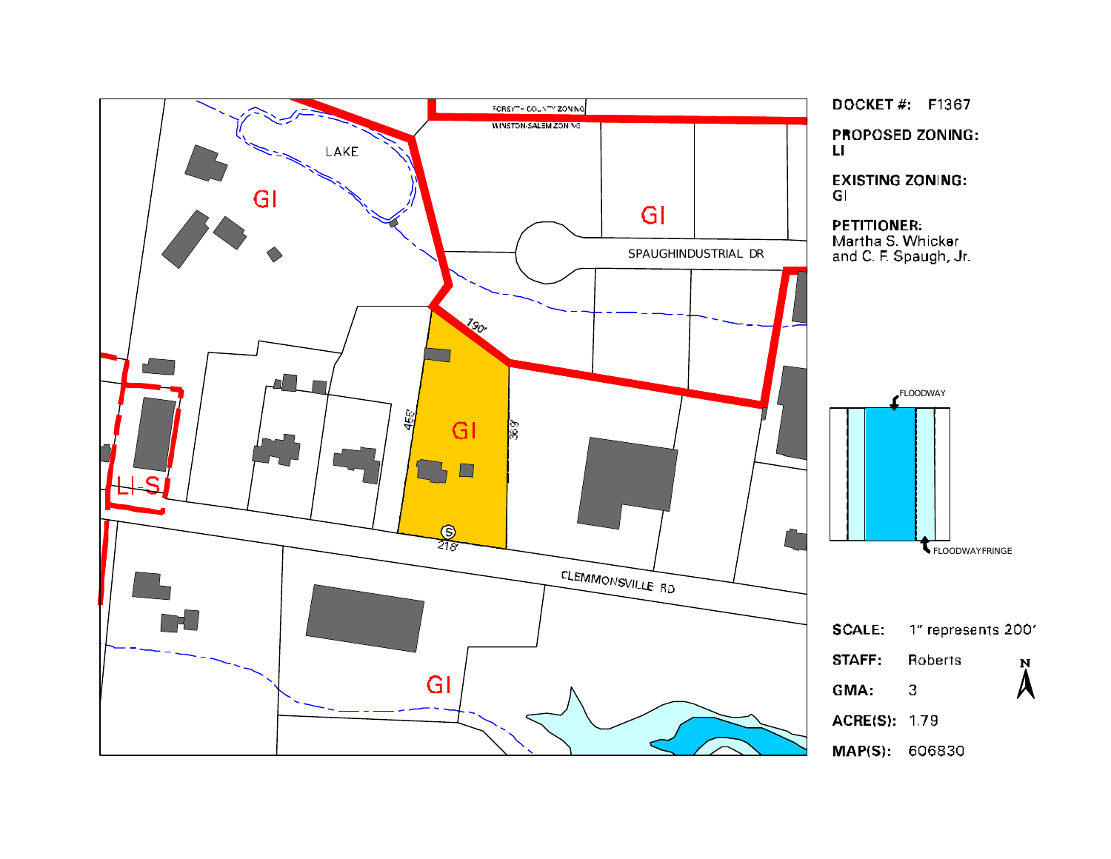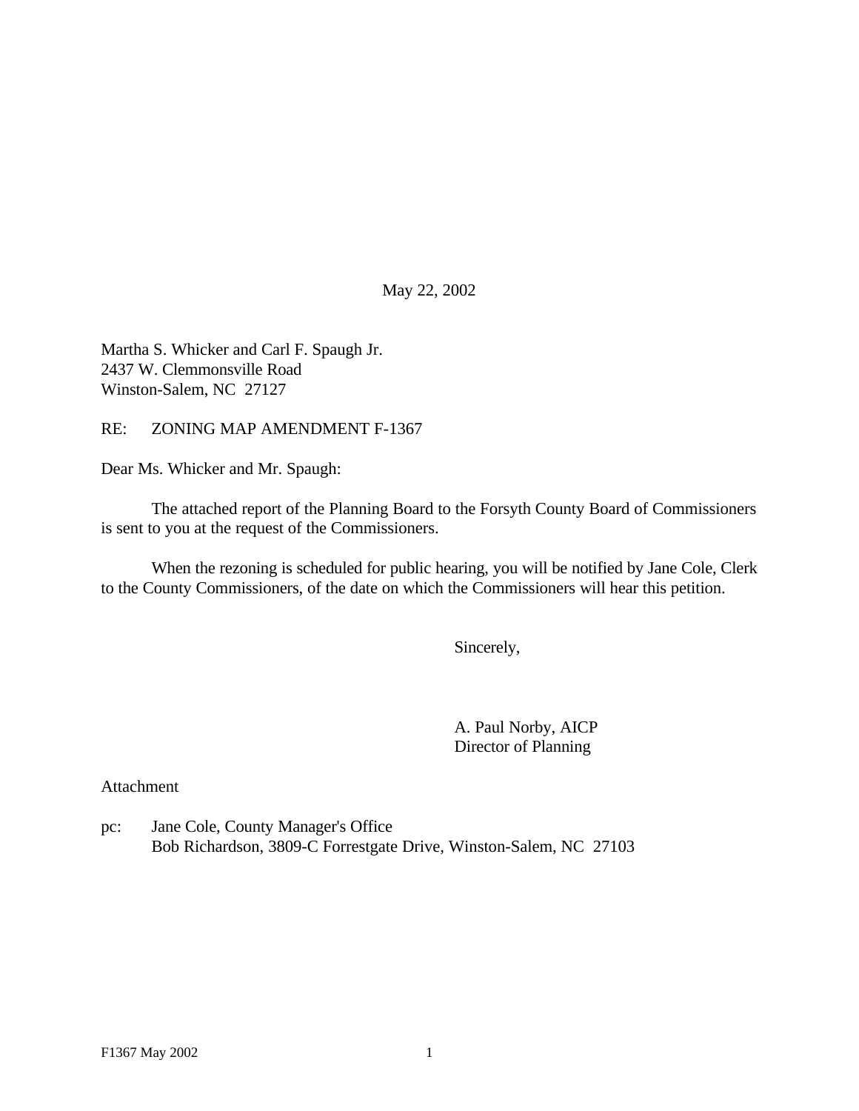May 22, 2002

Martha S. Whicker and Carl F. Spaugh Jr. 2437 W. Clemmonsville Road Winston-Salem, NC 27127

RE: ZONING MAP AMENDMENT F-1367

Dear Ms. Whicker and Mr. Spaugh:

The attached report of the Planning Board to the Forsyth County Board of Commissioners is sent to you at the request of the Commissioners.

When the rezoning is scheduled for public hearing, you will be notified by Jane Cole, Clerk to the County Commissioners, of the date on which the Commissioners will hear this petition.

Sincerely,

A. Paul Norby, AICP Director of Planning

Attachment

pc: Jane Cole, County Manager's Office Bob Richardson, 3809-C Forrestgate Drive, Winston-Salem, NC 27103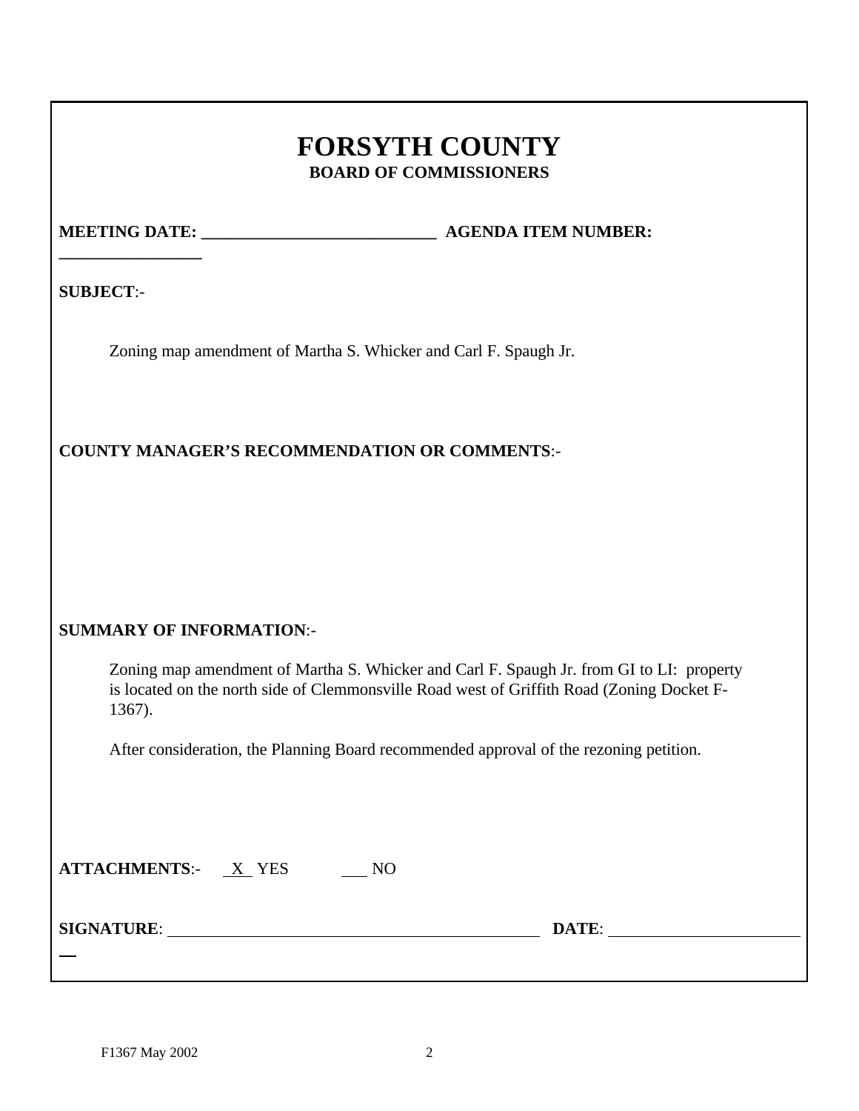# **FORSYTH COUNTY BOARD OF COMMISSIONERS**

**\_\_\_\_\_\_\_\_\_\_\_\_\_\_\_\_\_**

**MEETING DATE:**  $\qquad \qquad$  **AGENDA ITEM NUMBER:** 

**SUBJECT**:-

Zoning map amendment of Martha S. Whicker and Carl F. Spaugh Jr.

# **COUNTY MANAGER'S RECOMMENDATION OR COMMENTS**:-

# **SUMMARY OF INFORMATION**:-

Zoning map amendment of Martha S. Whicker and Carl F. Spaugh Jr. from GI to LI: property is located on the north side of Clemmonsville Road west of Griffith Road (Zoning Docket F-1367).

After consideration, the Planning Board recommended approval of the rezoning petition.

| X YES |  |
|-------|--|
|       |  |

**SIGNATURE**: **DATE**:

 $\overline{a}$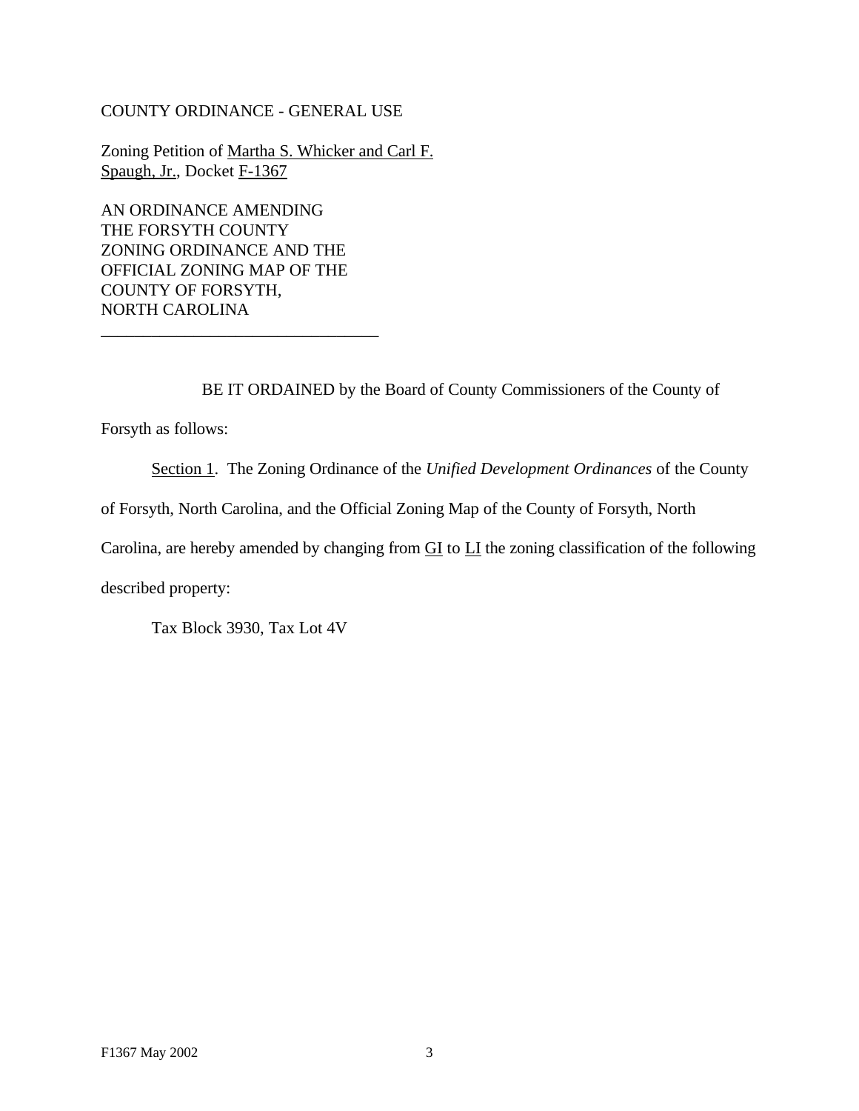#### COUNTY ORDINANCE - GENERAL USE

Zoning Petition of Martha S. Whicker and Carl F. Spaugh, Jr., Docket F-1367

AN ORDINANCE AMENDING THE FORSYTH COUNTY ZONING ORDINANCE AND THE OFFICIAL ZONING MAP OF THE COUNTY OF FORSYTH, NORTH CAROLINA

\_\_\_\_\_\_\_\_\_\_\_\_\_\_\_\_\_\_\_\_\_\_\_\_\_\_\_\_\_\_\_\_\_

BE IT ORDAINED by the Board of County Commissioners of the County of

Forsyth as follows:

Section 1. The Zoning Ordinance of the *Unified Development Ordinances* of the County

of Forsyth, North Carolina, and the Official Zoning Map of the County of Forsyth, North

Carolina, are hereby amended by changing from GI to LI the zoning classification of the following

described property:

Tax Block 3930, Tax Lot 4V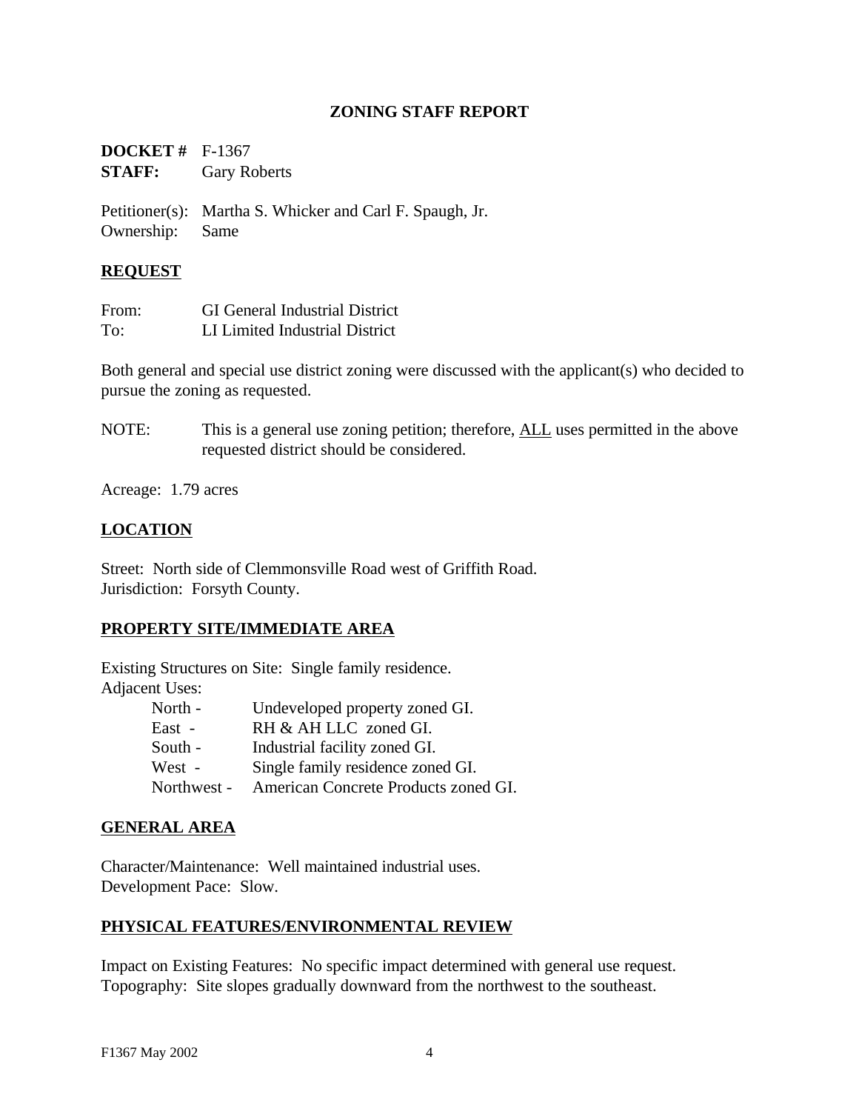## **ZONING STAFF REPORT**

| <b>DOCKET</b> # $F-1367$ |                     |
|--------------------------|---------------------|
| <b>STAFF:</b>            | <b>Gary Roberts</b> |

Petitioner(s): Martha S. Whicker and Carl F. Spaugh, Jr. Ownership: Same

## **REQUEST**

| From: | <b>GI</b> General Industrial District |
|-------|---------------------------------------|
| To:   | LI Limited Industrial District        |

Both general and special use district zoning were discussed with the applicant(s) who decided to pursue the zoning as requested.

NOTE: This is a general use zoning petition; therefore, ALL uses permitted in the above requested district should be considered.

Acreage: 1.79 acres

# **LOCATION**

Street: North side of Clemmonsville Road west of Griffith Road. Jurisdiction: Forsyth County.

## **PROPERTY SITE/IMMEDIATE AREA**

Existing Structures on Site: Single family residence. Adjacent Uses:

| North -     | Undeveloped property zoned GI.       |
|-------------|--------------------------------------|
| East -      | RH & AH LLC zoned GI.                |
| South -     | Industrial facility zoned GI.        |
| West -      | Single family residence zoned GI.    |
| Northwest - | American Concrete Products zoned GI. |

#### **GENERAL AREA**

Character/Maintenance: Well maintained industrial uses. Development Pace: Slow.

## **PHYSICAL FEATURES/ENVIRONMENTAL REVIEW**

Impact on Existing Features: No specific impact determined with general use request. Topography: Site slopes gradually downward from the northwest to the southeast.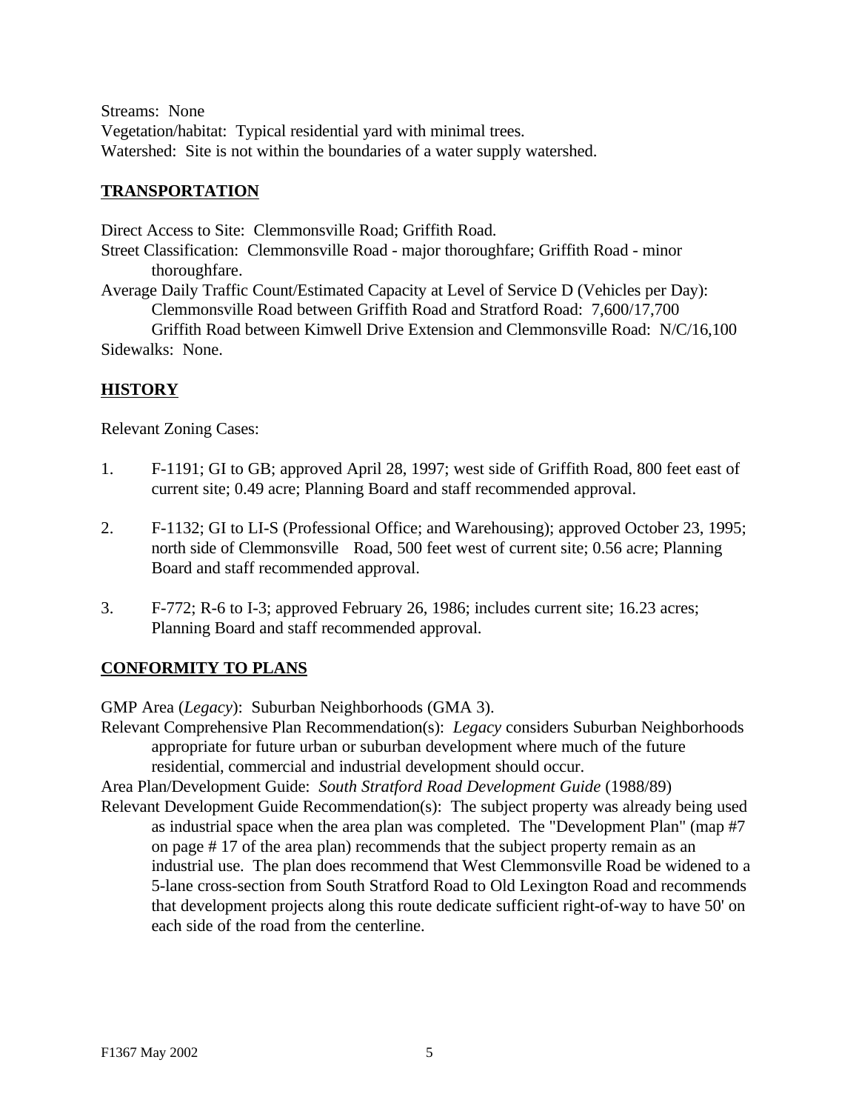Streams: None Vegetation/habitat: Typical residential yard with minimal trees. Watershed: Site is not within the boundaries of a water supply watershed.

## **TRANSPORTATION**

Direct Access to Site: Clemmonsville Road; Griffith Road. Street Classification: Clemmonsville Road - major thoroughfare; Griffith Road - minor thoroughfare. Average Daily Traffic Count/Estimated Capacity at Level of Service D (Vehicles per Day): Clemmonsville Road between Griffith Road and Stratford Road: 7,600/17,700 Griffith Road between Kimwell Drive Extension and Clemmonsville Road: N/C/16,100 Sidewalks: None.

## **HISTORY**

Relevant Zoning Cases:

- 1. F-1191; GI to GB; approved April 28, 1997; west side of Griffith Road, 800 feet east of current site; 0.49 acre; Planning Board and staff recommended approval.
- 2. F-1132; GI to LI-S (Professional Office; and Warehousing); approved October 23, 1995; north side of Clemmonsville Road, 500 feet west of current site; 0.56 acre; Planning Board and staff recommended approval.
- 3. F-772; R-6 to I-3; approved February 26, 1986; includes current site; 16.23 acres; Planning Board and staff recommended approval.

## **CONFORMITY TO PLANS**

GMP Area (*Legacy*): Suburban Neighborhoods (GMA 3).

Relevant Comprehensive Plan Recommendation(s): *Legacy* considers Suburban Neighborhoods appropriate for future urban or suburban development where much of the future residential, commercial and industrial development should occur.

Area Plan/Development Guide: *South Stratford Road Development Guide* (1988/89)

Relevant Development Guide Recommendation(s): The subject property was already being used as industrial space when the area plan was completed. The "Development Plan" (map #7 on page # 17 of the area plan) recommends that the subject property remain as an industrial use. The plan does recommend that West Clemmonsville Road be widened to a 5-lane cross-section from South Stratford Road to Old Lexington Road and recommends that development projects along this route dedicate sufficient right-of-way to have 50' on each side of the road from the centerline.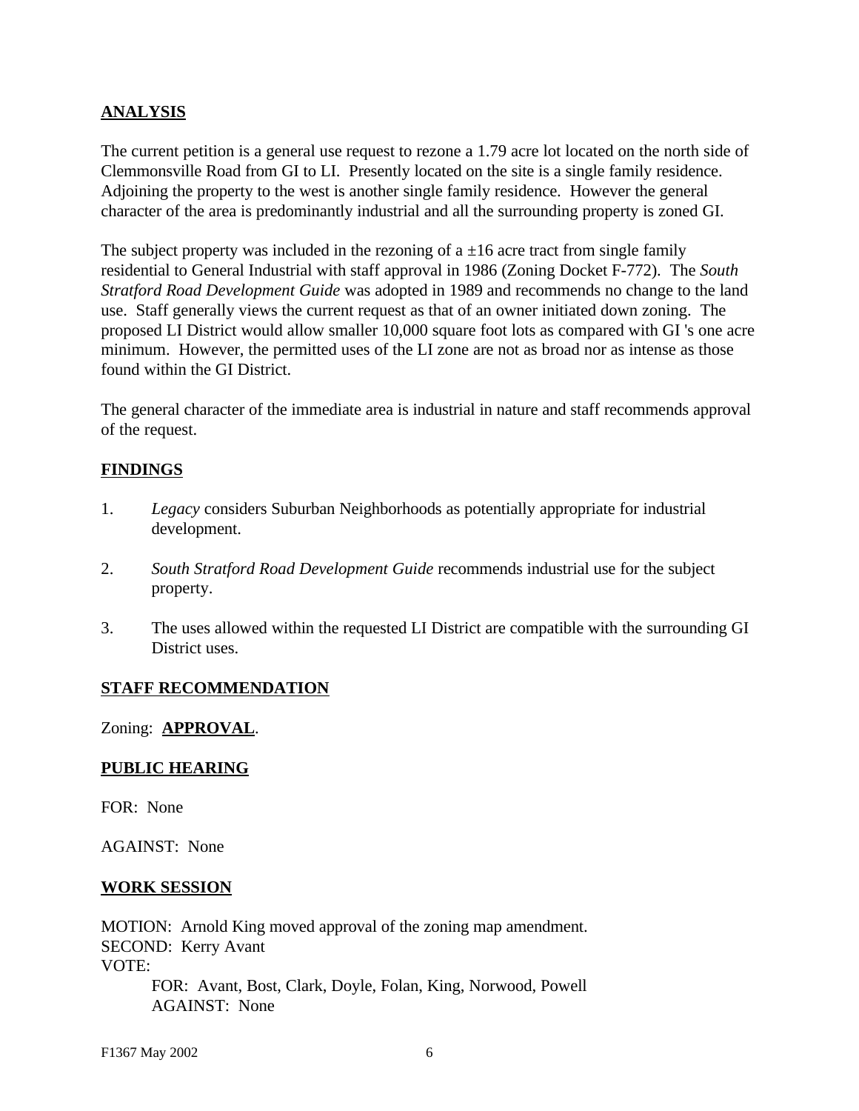## **ANALYSIS**

The current petition is a general use request to rezone a 1.79 acre lot located on the north side of Clemmonsville Road from GI to LI. Presently located on the site is a single family residence. Adjoining the property to the west is another single family residence. However the general character of the area is predominantly industrial and all the surrounding property is zoned GI.

The subject property was included in the rezoning of a  $\pm 16$  acre tract from single family residential to General Industrial with staff approval in 1986 (Zoning Docket F-772). The *South Stratford Road Development Guide* was adopted in 1989 and recommends no change to the land use. Staff generally views the current request as that of an owner initiated down zoning. The proposed LI District would allow smaller 10,000 square foot lots as compared with GI 's one acre minimum. However, the permitted uses of the LI zone are not as broad nor as intense as those found within the GI District.

The general character of the immediate area is industrial in nature and staff recommends approval of the request.

#### **FINDINGS**

- 1. *Legacy* considers Suburban Neighborhoods as potentially appropriate for industrial development.
- 2. *South Stratford Road Development Guide* recommends industrial use for the subject property.
- 3. The uses allowed within the requested LI District are compatible with the surrounding GI District uses.

#### **STAFF RECOMMENDATION**

#### Zoning: **APPROVAL**.

#### **PUBLIC HEARING**

FOR: None

AGAINST: None

#### **WORK SESSION**

MOTION: Arnold King moved approval of the zoning map amendment. SECOND: Kerry Avant VOTE: FOR: Avant, Bost, Clark, Doyle, Folan, King, Norwood, Powell AGAINST: None